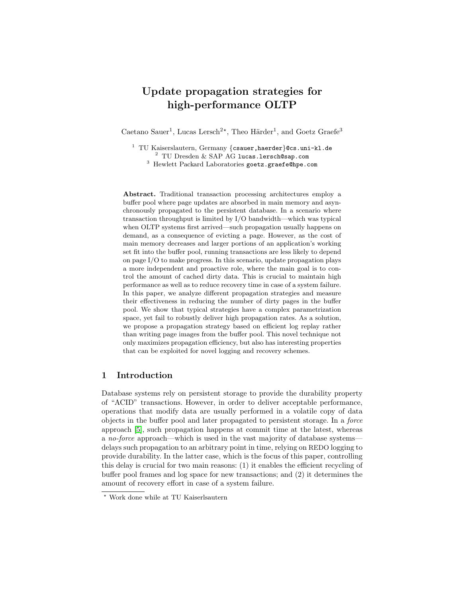# Update propagation strategies for high-performance OLTP

Caetano Sauer<sup>1</sup>, Lucas Lersch<sup>2\*</sup>, Theo Härder<sup>1</sup>, and Goetz Graefe<sup>3</sup>

<sup>1</sup> TU Kaiserslautern, Germany {csauer, haerder}@cs.uni-kl.de <sup>2</sup> TU Dresden & SAP AG lucas.lersch@sap.com <sup>3</sup> Hewlett Packard Laboratories goetz.graefe@hpe.com

Abstract. Traditional transaction processing architectures employ a buffer pool where page updates are absorbed in main memory and asynchronously propagated to the persistent database. In a scenario where transaction throughput is limited by I/O bandwidth—which was typical when OLTP systems first arrived—such propagation usually happens on demand, as a consequence of evicting a page. However, as the cost of main memory decreases and larger portions of an application's working set fit into the buffer pool, running transactions are less likely to depend on page I/O to make progress. In this scenario, update propagation plays a more independent and proactive role, where the main goal is to control the amount of cached dirty data. This is crucial to maintain high performance as well as to reduce recovery time in case of a system failure. In this paper, we analyze different propagation strategies and measure their effectiveness in reducing the number of dirty pages in the buffer pool. We show that typical strategies have a complex parametrization space, yet fail to robustly deliver high propagation rates. As a solution, we propose a propagation strategy based on efficient log replay rather than writing page images from the buffer pool. This novel technique not only maximizes propagation efficiency, but also has interesting properties that can be exploited for novel logging and recovery schemes.

# <span id="page-0-0"></span>1 Introduction

Database systems rely on persistent storage to provide the durability property of "ACID" transactions. However, in order to deliver acceptable performance, operations that modify data are usually performed in a volatile copy of data objects in the buffer pool and later propagated to persistent storage. In a force approach [\[5\]](#page-13-0), such propagation happens at commit time at the latest, whereas a no-force approach—which is used in the vast majority of database systems delays such propagation to an arbitrary point in time, relying on REDO logging to provide durability. In the latter case, which is the focus of this paper, controlling this delay is crucial for two main reasons: (1) it enables the efficient recycling of buffer pool frames and log space for new transactions; and (2) it determines the amount of recovery effort in case of a system failure.

<sup>?</sup> Work done while at TU Kaiserlsautern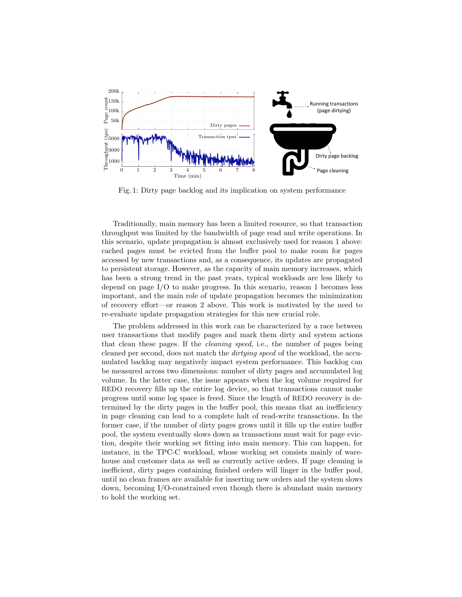<span id="page-1-0"></span>

Fig. 1: Dirty page backlog and its implication on system performance

Traditionally, main memory has been a limited resource, so that transaction throughput was limited by the bandwidth of page read and write operations. In this scenario, update propagation is almost exclusively used for reason 1 above: cached pages must be evicted from the buffer pool to make room for pages accessed by new transactions and, as a consequence, its updates are propagated to persistent storage. However, as the capacity of main memory increases, which has been a strong trend in the past years, typical workloads are less likely to depend on page I/O to make progress. In this scenario, reason 1 becomes less important, and the main role of update propagation becomes the minimization of recovery effort—or reason 2 above. This work is motivated by the need to re-evaluate update propagation strategies for this new crucial role.

The problem addressed in this work can be characterized by a race between user transactions that modify pages and mark them dirty and system actions that clean these pages. If the cleaning speed, i.e., the number of pages being cleaned per second, does not match the dirtying speed of the workload, the accumulated backlog may negatively impact system performance. This backlog can be measured across two dimensions: number of dirty pages and accumulated log volume. In the latter case, the issue appears when the log volume required for REDO recovery fills up the entire log device, so that transactions cannot make progress until some log space is freed. Since the length of REDO recovery is determined by the dirty pages in the buffer pool, this means that an inefficiency in page cleaning can lead to a complete halt of read-write transactions. In the former case, if the number of dirty pages grows until it fills up the entire buffer pool, the system eventually slows down as transactions must wait for page eviction, despite their working set fitting into main memory. This can happen, for instance, in the TPC-C workload, whose working set consists mainly of warehouse and customer data as well as currently active orders. If page cleaning is inefficient, dirty pages containing finished orders will linger in the buffer pool, until no clean frames are available for inserting new orders and the system slows down, becoming I/O-constrained even though there is abundant main memory to hold the working set.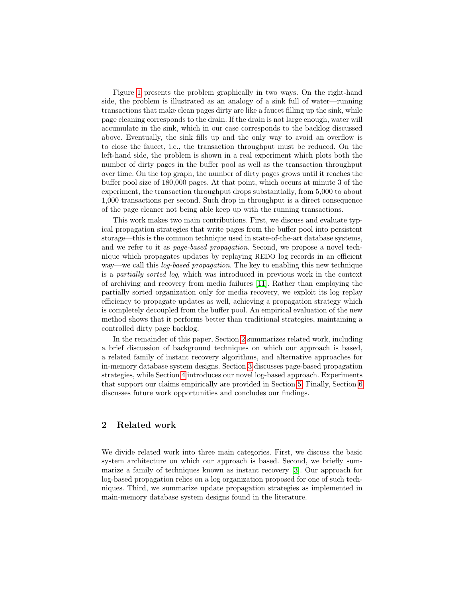Figure [1](#page-1-0) presents the problem graphically in two ways. On the right-hand side, the problem is illustrated as an analogy of a sink full of water—running transactions that make clean pages dirty are like a faucet filling up the sink, while page cleaning corresponds to the drain. If the drain is not large enough, water will accumulate in the sink, which in our case corresponds to the backlog discussed above. Eventually, the sink fills up and the only way to avoid an overflow is to close the faucet, i.e., the transaction throughput must be reduced. On the left-hand side, the problem is shown in a real experiment which plots both the number of dirty pages in the buffer pool as well as the transaction throughput over time. On the top graph, the number of dirty pages grows until it reaches the buffer pool size of 180,000 pages. At that point, which occurs at minute 3 of the experiment, the transaction throughput drops substantially, from 5,000 to about 1,000 transactions per second. Such drop in throughput is a direct consequence of the page cleaner not being able keep up with the running transactions.

This work makes two main contributions. First, we discuss and evaluate typical propagation strategies that write pages from the buffer pool into persistent storage—this is the common technique used in state-of-the-art database systems, and we refer to it as page-based propagation. Second, we propose a novel technique which propagates updates by replaying REDO log records in an efficient way—we call this log-based propagation. The key to enabling this new technique is a partially sorted log, which was introduced in previous work in the context of archiving and recovery from media failures [\[11\]](#page-13-1). Rather than employing the partially sorted organization only for media recovery, we exploit its log replay efficiency to propagate updates as well, achieving a propagation strategy which is completely decoupled from the buffer pool. An empirical evaluation of the new method shows that it performs better than traditional strategies, maintaining a controlled dirty page backlog.

In the remainder of this paper, Section [2](#page-2-0) summarizes related work, including a brief discussion of background techniques on which our approach is based, a related family of instant recovery algorithms, and alternative approaches for in-memory database system designs. Section [3](#page-4-0) discusses page-based propagation strategies, while Section [4](#page-7-0) introduces our novel log-based approach. Experiments that support our claims empirically are provided in Section [5.](#page-10-0) Finally, Section [6](#page-12-0) discusses future work opportunities and concludes our findings.

# <span id="page-2-0"></span>2 Related work

We divide related work into three main categories. First, we discuss the basic system architecture on which our approach is based. Second, we briefly summarize a family of techniques known as instant recovery [\[3\]](#page-13-2). Our approach for log-based propagation relies on a log organization proposed for one of such techniques. Third, we summarize update propagation strategies as implemented in main-memory database system designs found in the literature.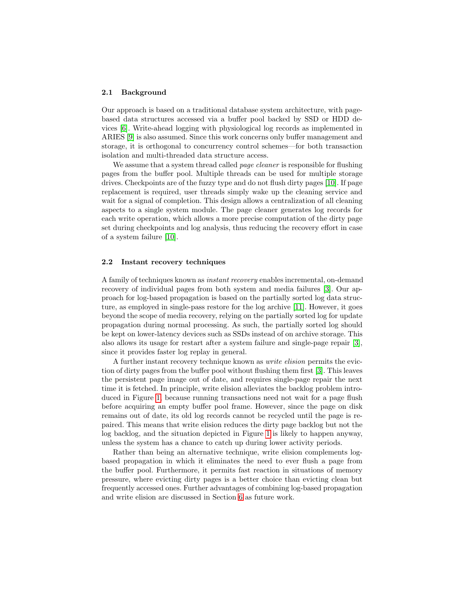#### <span id="page-3-0"></span>2.1 Background

Our approach is based on a traditional database system architecture, with pagebased data structures accessed via a buffer pool backed by SSD or HDD devices [\[6\]](#page-13-3). Write-ahead logging with physiological log records as implemented in ARIES [\[9\]](#page-13-4) is also assumed. Since this work concerns only buffer management and storage, it is orthogonal to concurrency control schemes—for both transaction isolation and multi-threaded data structure access.

We assume that a system thread called *page cleaner* is responsible for flushing pages from the buffer pool. Multiple threads can be used for multiple storage drives. Checkpoints are of the fuzzy type and do not flush dirty pages [\[10\]](#page-13-5). If page replacement is required, user threads simply wake up the cleaning service and wait for a signal of completion. This design allows a centralization of all cleaning aspects to a single system module. The page cleaner generates log records for each write operation, which allows a more precise computation of the dirty page set during checkpoints and log analysis, thus reducing the recovery effort in case of a system failure [\[10\]](#page-13-5).

#### 2.2 Instant recovery techniques

A family of techniques known as instant recovery enables incremental, on-demand recovery of individual pages from both system and media failures [\[3\]](#page-13-2). Our approach for log-based propagation is based on the partially sorted log data structure, as employed in single-pass restore for the log archive [\[11\]](#page-13-1). However, it goes beyond the scope of media recovery, relying on the partially sorted log for update propagation during normal processing. As such, the partially sorted log should be kept on lower-latency devices such as SSDs instead of on archive storage. This also allows its usage for restart after a system failure and single-page repair [\[3\]](#page-13-2), since it provides faster log replay in general.

A further instant recovery technique known as write elision permits the eviction of dirty pages from the buffer pool without flushing them first [\[3\]](#page-13-2). This leaves the persistent page image out of date, and requires single-page repair the next time it is fetched. In principle, write elision alleviates the backlog problem introduced in Figure [1,](#page-1-0) because running transactions need not wait for a page flush before acquiring an empty buffer pool frame. However, since the page on disk remains out of date, its old log records cannot be recycled until the page is repaired. This means that write elision reduces the dirty page backlog but not the log backlog, and the situation depicted in Figure [1](#page-1-0) is likely to happen anyway, unless the system has a chance to catch up during lower activity periods.

Rather than being an alternative technique, write elision complements logbased propagation in which it eliminates the need to ever flush a page from the buffer pool. Furthermore, it permits fast reaction in situations of memory pressure, where evicting dirty pages is a better choice than evicting clean but frequently accessed ones. Further advantages of combining log-based propagation and write elision are discussed in Section [6](#page-12-0) as future work.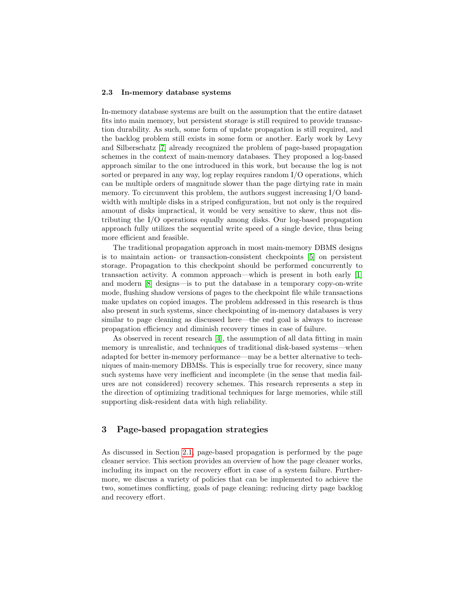#### 2.3 In-memory database systems

In-memory database systems are built on the assumption that the entire dataset fits into main memory, but persistent storage is still required to provide transaction durability. As such, some form of update propagation is still required, and the backlog problem still exists in some form or another. Early work by Levy and Silberschatz [\[7\]](#page-13-6) already recognized the problem of page-based propagation schemes in the context of main-memory databases. They proposed a log-based approach similar to the one introduced in this work, but because the log is not sorted or prepared in any way, log replay requires random I/O operations, which can be multiple orders of magnitude slower than the page dirtying rate in main memory. To circumvent this problem, the authors suggest increasing I/O bandwidth with multiple disks in a striped configuration, but not only is the required amount of disks impractical, it would be very sensitive to skew, thus not distributing the I/O operations equally among disks. Our log-based propagation approach fully utilizes the sequential write speed of a single device, thus being more efficient and feasible.

The traditional propagation approach in most main-memory DBMS designs is to maintain action- or transaction-consistent checkpoints [\[5\]](#page-13-0) on persistent storage. Propagation to this checkpoint should be performed concurrently to transaction activity. A common approach—which is present in both early [\[1\]](#page-13-7) and modern [\[8\]](#page-13-8) designs—is to put the database in a temporary copy-on-write mode, flushing shadow versions of pages to the checkpoint file while transactions make updates on copied images. The problem addressed in this research is thus also present in such systems, since checkpointing of in-memory databases is very similar to page cleaning as discussed here—the end goal is always to increase propagation efficiency and diminish recovery times in case of failure.

As observed in recent research [\[4\]](#page-13-9), the assumption of all data fitting in main memory is unrealistic, and techniques of traditional disk-based systems—when adapted for better in-memory performance—may be a better alternative to techniques of main-memory DBMSs. This is especially true for recovery, since many such systems have very inefficient and incomplete (in the sense that media failures are not considered) recovery schemes. This research represents a step in the direction of optimizing traditional techniques for large memories, while still supporting disk-resident data with high reliability.

## <span id="page-4-0"></span>3 Page-based propagation strategies

As discussed in Section [2.1,](#page-3-0) page-based propagation is performed by the page cleaner service. This section provides an overview of how the page cleaner works, including its impact on the recovery effort in case of a system failure. Furthermore, we discuss a variety of policies that can be implemented to achieve the two, sometimes conflicting, goals of page cleaning: reducing dirty page backlog and recovery effort.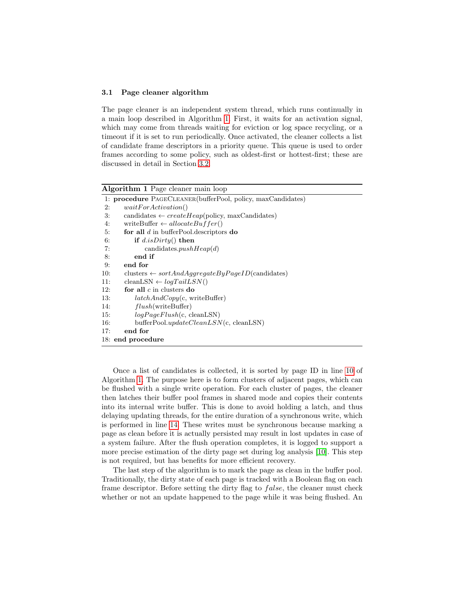### <span id="page-5-1"></span>3.1 Page cleaner algorithm

The page cleaner is an independent system thread, which runs continually in a main loop described in Algorithm [1.](#page-5-0) First, it waits for an activation signal, which may come from threads waiting for eviction or log space recycling, or a timeout if it is set to run periodically. Once activated, the cleaner collects a list of candidate frame descriptors in a priority queue. This queue is used to order frames according to some policy, such as oldest-first or hottest-first; these are discussed in detail in Section [3.2.](#page-6-0)

<span id="page-5-0"></span>

| <b>Algorithm 1</b> Page cleaner main loop |                                                                    |  |
|-------------------------------------------|--------------------------------------------------------------------|--|
|                                           | 1: <b>procedure</b> PAGECLEANER(bufferPool, policy, maxCandidates) |  |
| 2:                                        | waitForAction()                                                    |  |
| 3:                                        | candidates $\leftarrow createHeap(policy, maxC andidates)$         |  |
| 4:                                        | writeBuffer $\leftarrow$ allocateBuffer()                          |  |
| 5:                                        | for all $d$ in buffer Pool descriptors do                          |  |
| 6:                                        | if $d.isDirty()$ then                                              |  |
| 7:                                        | candidates.push $Heap(d)$                                          |  |
| 8:                                        | end if                                                             |  |
| 9:                                        | end for                                                            |  |
| 10:                                       | clusters $\leftarrow sortAndAggregateByPageID$ (candidates)        |  |
| 11:                                       | $cleanLSN \leftarrow logTailLSN()$                                 |  |
| 12:                                       | for all $c$ in clusters do                                         |  |
| 13:                                       | latchAndCopy(c, writeBuffer)                                       |  |
| 14:                                       | flush(writeBuffer)                                                 |  |
| 15:                                       | logPageFlush(c, cleanLSN)                                          |  |
| 16:                                       | bufferPool.updateCleanLSN(c, cleanLSN)                             |  |
| 17:                                       | end for                                                            |  |
|                                           | 18: end procedure                                                  |  |

Once a list of candidates is collected, it is sorted by page ID in line [10](#page-5-1) of Algorithm [1.](#page-5-0) The purpose here is to form clusters of adjacent pages, which can be flushed with a single write operation. For each cluster of pages, the cleaner then latches their buffer pool frames in shared mode and copies their contents into its internal write buffer. This is done to avoid holding a latch, and thus delaying updating threads, for the entire duration of a synchronous write, which is performed in line [14.](#page-5-1) These writes must be synchronous because marking a page as clean before it is actually persisted may result in lost updates in case of a system failure. After the flush operation completes, it is logged to support a more precise estimation of the dirty page set during log analysis [\[10\]](#page-13-5). This step is not required, but has benefits for more efficient recovery.

The last step of the algorithm is to mark the page as clean in the buffer pool. Traditionally, the dirty state of each page is tracked with a Boolean flag on each frame descriptor. Before setting the dirty flag to false, the cleaner must check whether or not an update happened to the page while it was being flushed. An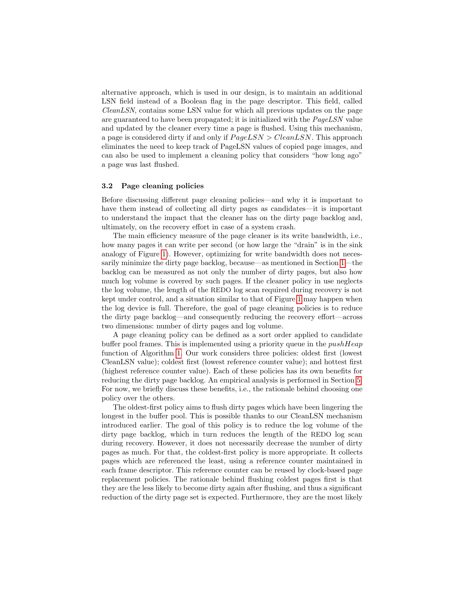alternative approach, which is used in our design, is to maintain an additional LSN field instead of a Boolean flag in the page descriptor. This field, called CleanLSN, contains some LSN value for which all previous updates on the page are guaranteed to have been propagated; it is initialized with the  $PaqeLSN$  value and updated by the cleaner every time a page is flushed. Using this mechanism, a page is considered dirty if and only if  $PageLSN > CleanLSN$ . This approach eliminates the need to keep track of PageLSN values of copied page images, and can also be used to implement a cleaning policy that considers "how long ago" a page was last flushed.

#### <span id="page-6-0"></span>3.2 Page cleaning policies

Before discussing different page cleaning policies—and why it is important to have them instead of collecting all dirty pages as candidates—it is important to understand the impact that the cleaner has on the dirty page backlog and, ultimately, on the recovery effort in case of a system crash.

The main efficiency measure of the page cleaner is its write bandwidth, i.e., how many pages it can write per second (or how large the "drain" is in the sink analogy of Figure [1\)](#page-1-0). However, optimizing for write bandwidth does not necessarily minimize the dirty page backlog, because—as mentioned in Section [1—](#page-0-0)the backlog can be measured as not only the number of dirty pages, but also how much log volume is covered by such pages. If the cleaner policy in use neglects the log volume, the length of the REDO log scan required during recovery is not kept under control, and a situation similar to that of Figure [1](#page-1-0) may happen when the log device is full. Therefore, the goal of page cleaning policies is to reduce the dirty page backlog—and consequently reducing the recovery effort—across two dimensions: number of dirty pages and log volume.

A page cleaning policy can be defined as a sort order applied to candidate buffer pool frames. This is implemented using a priority queue in the  $pushHeap$ function of Algorithm [1.](#page-5-0) Our work considers three policies: oldest first (lowest CleanLSN value); coldest first (lowest reference counter value); and hottest first (highest reference counter value). Each of these policies has its own benefits for reducing the dirty page backlog. An empirical analysis is performed in Section [5.](#page-10-0) For now, we briefly discuss these benefits, i.e., the rationale behind choosing one policy over the others.

The oldest-first policy aims to flush dirty pages which have been lingering the longest in the buffer pool. This is possible thanks to our CleanLSN mechanism introduced earlier. The goal of this policy is to reduce the log volume of the dirty page backlog, which in turn reduces the length of the REDO log scan during recovery. However, it does not necessarily decrease the number of dirty pages as much. For that, the coldest-first policy is more appropriate. It collects pages which are referenced the least, using a reference counter maintained in each frame descriptor. This reference counter can be reused by clock-based page replacement policies. The rationale behind flushing coldest pages first is that they are the less likely to become dirty again after flushing, and thus a significant reduction of the dirty page set is expected. Furthermore, they are the most likely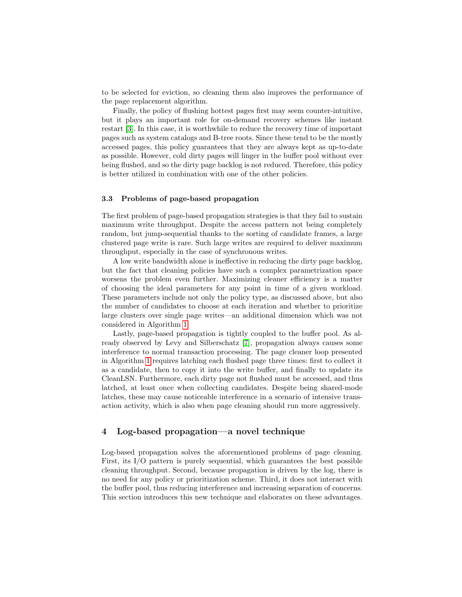to be selected for eviction, so cleaning them also improves the performance of the page replacement algorithm.

Finally, the policy of flushing hottest pages first may seem counter-intuitive, but it plays an important role for on-demand recovery schemes like instant restart [\[3\]](#page-13-2). In this case, it is worthwhile to reduce the recovery time of important pages such as system catalogs and B-tree roots. Since these tend to be the mostly accessed pages, this policy guarantees that they are always kept as up-to-date as possible. However, cold dirty pages will linger in the buffer pool without ever being flushed, and so the dirty page backlog is not reduced. Therefore, this policy is better utilized in combination with one of the other policies.

### 3.3 Problems of page-based propagation

The first problem of page-based propagation strategies is that they fail to sustain maximum write throughput. Despite the access pattern not being completely random, but jump-sequential thanks to the sorting of candidate frames, a large clustered page write is rare. Such large writes are required to deliver maximum throughput, especially in the case of synchronous writes.

A low write bandwidth alone is ineffective in reducing the dirty page backlog, but the fact that cleaning policies have such a complex parametrization space worsens the problem even further. Maximizing cleaner efficiency is a matter of choosing the ideal parameters for any point in time of a given workload. These parameters include not only the policy type, as discussed above, but also the number of candidates to choose at each iteration and whether to prioritize large clusters over single page writes—an additional dimension which was not considered in Algorithm [1.](#page-5-0)

Lastly, page-based propagation is tightly coupled to the buffer pool. As already observed by Levy and Silberschatz [\[7\]](#page-13-6), propagation always causes some interference to normal transaction processing. The page cleaner loop presented in Algorithm [1](#page-5-0) requires latching each flushed page three times: first to collect it as a candidate, then to copy it into the write buffer, and finally to update its CleanLSN. Furthermore, each dirty page not flushed must be accessed, and thus latched, at least once when collecting candidates. Despite being shared-mode latches, these may cause noticeable interference in a scenario of intensive transaction activity, which is also when page cleaning should run more aggressively.

# <span id="page-7-0"></span>4 Log-based propagation—a novel technique

Log-based propagation solves the aforementioned problems of page cleaning. First, its I/O pattern is purely sequential, which guarantees the best possible cleaning throughput. Second, because propagation is driven by the log, there is no need for any policy or prioritization scheme. Third, it does not interact with the buffer pool, thus reducing interference and increasing separation of concerns. This section introduces this new technique and elaborates on these advantages.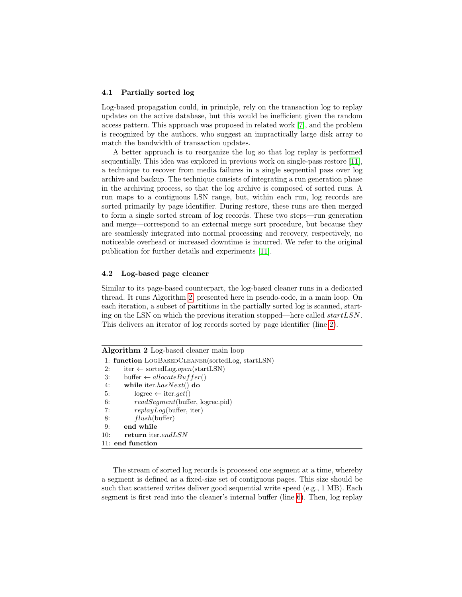### 4.1 Partially sorted log

Log-based propagation could, in principle, rely on the transaction log to replay updates on the active database, but this would be inefficient given the random access pattern. This approach was proposed in related work [\[7\]](#page-13-6), and the problem is recognized by the authors, who suggest an impractically large disk array to match the bandwidth of transaction updates.

A better approach is to reorganize the log so that log replay is performed sequentially. This idea was explored in previous work on single-pass restore [\[11\]](#page-13-1), a technique to recover from media failures in a single sequential pass over log archive and backup. The technique consists of integrating a run generation phase in the archiving process, so that the log archive is composed of sorted runs. A run maps to a contiguous LSN range, but, within each run, log records are sorted primarily by page identifier. During restore, these runs are then merged to form a single sorted stream of log records. These two steps—run generation and merge—correspond to an external merge sort procedure, but because they are seamlessly integrated into normal processing and recovery, respectively, no noticeable overhead or increased downtime is incurred. We refer to the original publication for further details and experiments [\[11\]](#page-13-1).

### <span id="page-8-1"></span>4.2 Log-based page cleaner

Similar to its page-based counterpart, the log-based cleaner runs in a dedicated thread. It runs Algorithm [2,](#page-8-0) presented here in pseudo-code, in a main loop. On each iteration, a subset of partitions in the partially sorted log is scanned, starting on the LSN on which the previous iteration stopped—here called startLSN. This delivers an iterator of log records sorted by page identifier (line [2\)](#page-8-1).

<span id="page-8-0"></span>

| Algorithm 2 Log-based cleaner main loop |                                                        |  |
|-----------------------------------------|--------------------------------------------------------|--|
|                                         | 1: function LOGBASEDCLEANER(sortedLog, startLSN)       |  |
| 2:                                      | $iter \leftarrow sortedLog.open(startLSN)$             |  |
| 3:                                      | buffer $\leftarrow$ allocate Buffer()                  |  |
| 4:                                      | while iter.hasNext() do                                |  |
| 5:                                      | $logrec \leftarrow iter.get()$                         |  |
| 6:                                      | $readSegment(\text{buffer}, \text{logic}, \text{pid})$ |  |
| 7:                                      | replayLog(buffer, iter)                                |  |
| 8:                                      | flush(buffer)                                          |  |
| 9:                                      | end while                                              |  |
| 10:                                     | return iter.endLSN                                     |  |
|                                         | 11: end function                                       |  |

The stream of sorted log records is processed one segment at a time, whereby a segment is defined as a fixed-size set of contiguous pages. This size should be such that scattered writes deliver good sequential write speed (e.g., 1 MB). Each segment is first read into the cleaner's internal buffer (line [6\)](#page-8-1). Then, log replay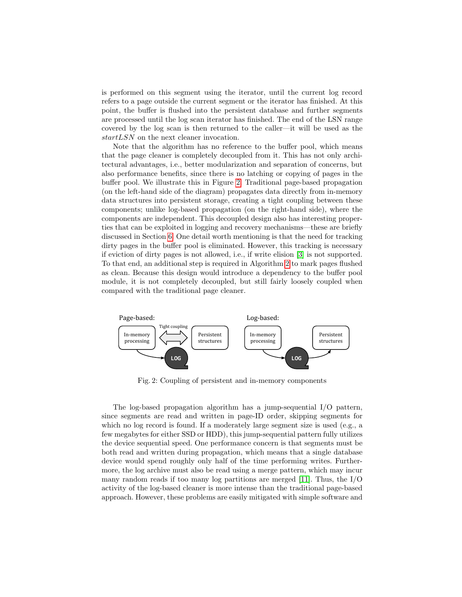is performed on this segment using the iterator, until the current log record refers to a page outside the current segment or the iterator has finished. At this point, the buffer is flushed into the persistent database and further segments are processed until the log scan iterator has finished. The end of the LSN range covered by the log scan is then returned to the caller—it will be used as the startLSN on the next cleaner invocation.

Note that the algorithm has no reference to the buffer pool, which means that the page cleaner is completely decoupled from it. This has not only architectural advantages, i.e., better modularization and separation of concerns, but also performance benefits, since there is no latching or copying of pages in the buffer pool. We illustrate this in Figure [2.](#page-9-0) Traditional page-based propagation (on the left-hand side of the diagram) propagates data directly from in-memory data structures into persistent storage, creating a tight coupling between these components; unlike log-based propagation (on the right-hand side), where the components are independent. This decoupled design also has interesting properties that can be exploited in logging and recovery mechanisms—these are briefly discussed in Section [6.](#page-12-0) One detail worth mentioning is that the need for tracking dirty pages in the buffer pool is eliminated. However, this tracking is necessary if eviction of dirty pages is not allowed, i.e., if write elision [\[3\]](#page-13-2) is not supported. To that end, an additional step is required in Algorithm [2](#page-8-0) to mark pages flushed as clean. Because this design would introduce a dependency to the buffer pool module, it is not completely decoupled, but still fairly loosely coupled when compared with the traditional page cleaner.

<span id="page-9-0"></span>

Fig. 2: Coupling of persistent and in-memory components

The log-based propagation algorithm has a jump-sequential I/O pattern, since segments are read and written in page-ID order, skipping segments for which no log record is found. If a moderately large segment size is used (e.g., a few megabytes for either SSD or HDD), this jump-sequential pattern fully utilizes the device sequential speed. One performance concern is that segments must be both read and written during propagation, which means that a single database device would spend roughly only half of the time performing writes. Furthermore, the log archive must also be read using a merge pattern, which may incur many random reads if too many log partitions are merged [\[11\]](#page-13-1). Thus, the  $I/O$ activity of the log-based cleaner is more intense than the traditional page-based approach. However, these problems are easily mitigated with simple software and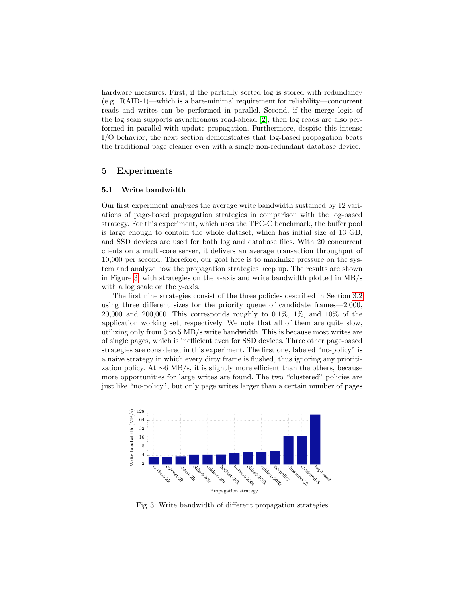hardware measures. First, if the partially sorted log is stored with redundancy (e.g., RAID-1)—which is a bare-minimal requirement for reliability—concurrent reads and writes can be performed in parallel. Second, if the merge logic of the log scan supports asynchronous read-ahead [\[2\]](#page-13-10), then log reads are also performed in parallel with update propagation. Furthermore, despite this intense I/O behavior, the next section demonstrates that log-based propagation beats the traditional page cleaner even with a single non-redundant database device.

## <span id="page-10-0"></span>5 Experiments

### 5.1 Write bandwidth

Our first experiment analyzes the average write bandwidth sustained by 12 variations of page-based propagation strategies in comparison with the log-based strategy. For this experiment, which uses the TPC-C benchmark, the buffer pool is large enough to contain the whole dataset, which has initial size of 13 GB, and SSD devices are used for both log and database files. With 20 concurrent clients on a multi-core server, it delivers an average transaction throughput of 10,000 per second. Therefore, our goal here is to maximize pressure on the system and analyze how the propagation strategies keep up. The results are shown in Figure [3,](#page-10-1) with strategies on the x-axis and write bandwidth plotted in MB/s with a log scale on the y-axis.

The first nine strategies consist of the three policies described in Section [3.2](#page-6-0) using three different sizes for the priority queue of candidate frames—2,000, 20,000 and 200,000. This corresponds roughly to 0.1%, 1%, and 10% of the application working set, respectively. We note that all of them are quite slow, utilizing only from 3 to 5 MB/s write bandwidth. This is because most writes are of single pages, which is inefficient even for SSD devices. Three other page-based strategies are considered in this experiment. The first one, labeled "no-policy" is a naive strategy in which every dirty frame is flushed, thus ignoring any prioritization policy. At ∼6 MB/s, it is slightly more efficient than the others, because more opportunities for large writes are found. The two "clustered" policies are just like "no-policy", but only page writes larger than a certain number of pages

<span id="page-10-1"></span>

Fig. 3: Write bandwidth of different propagation strategies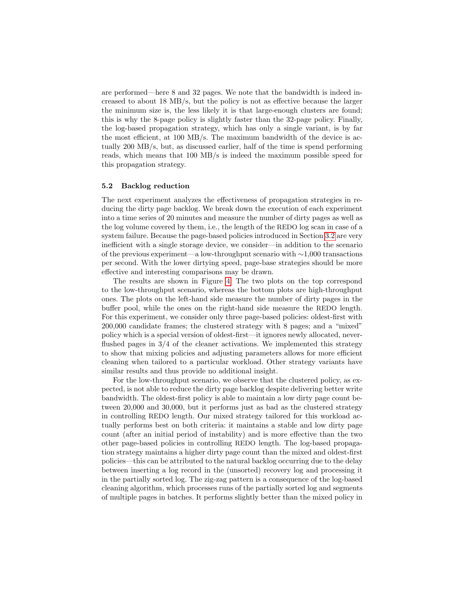are performed—here 8 and 32 pages. We note that the bandwidth is indeed increased to about 18 MB/s, but the policy is not as effective because the larger the minimum size is, the less likely it is that large-enough clusters are found; this is why the 8-page policy is slightly faster than the 32-page policy. Finally, the log-based propagation strategy, which has only a single variant, is by far the most efficient, at 100 MB/s. The maximum bandwidth of the device is actually 200 MB/s, but, as discussed earlier, half of the time is spend performing reads, which means that 100 MB/s is indeed the maximum possible speed for this propagation strategy.

## 5.2 Backlog reduction

The next experiment analyzes the effectiveness of propagation strategies in reducing the dirty page backlog. We break down the execution of each experiment into a time series of 20 minutes and measure the number of dirty pages as well as the log volume covered by them, i.e., the length of the REDO log scan in case of a system failure. Because the page-based policies introduced in Section [3.2](#page-6-0) are very inefficient with a single storage device, we consider—in addition to the scenario of the previous experiment—a low-throughput scenario with ∼1,000 transactions per second. With the lower dirtying speed, page-base strategies should be more effective and interesting comparisons may be drawn.

The results are shown in Figure [4.](#page-12-1) The two plots on the top correspond to the low-throughput scenario, whereas the bottom plots are high-throughput ones. The plots on the left-hand side measure the number of dirty pages in the buffer pool, while the ones on the right-hand side measure the REDO length. For this experiment, we consider only three page-based policies: oldest-first with 200,000 candidate frames; the clustered strategy with 8 pages; and a "mixed" policy which is a special version of oldest-first—it ignores newly allocated, neverflushed pages in 3/4 of the cleaner activations. We implemented this strategy to show that mixing policies and adjusting parameters allows for more efficient cleaning when tailored to a particular workload. Other strategy variants have similar results and thus provide no additional insight.

For the low-throughput scenario, we observe that the clustered policy, as expected, is not able to reduce the dirty page backlog despite delivering better write bandwidth. The oldest-first policy is able to maintain a low dirty page count between 20,000 and 30,000, but it performs just as bad as the clustered strategy in controlling REDO length. Our mixed strategy tailored for this workload actually performs best on both criteria: it maintains a stable and low dirty page count (after an initial period of instability) and is more effective than the two other page-based policies in controlling REDO length. The log-based propagation strategy maintains a higher dirty page count than the mixed and oldest-first policies—this can be attributed to the natural backlog occurring due to the delay between inserting a log record in the (unsorted) recovery log and processing it in the partially sorted log. The zig-zag pattern is a consequence of the log-based cleaning algorithm, which processes runs of the partially sorted log and segments of multiple pages in batches. It performs slightly better than the mixed policy in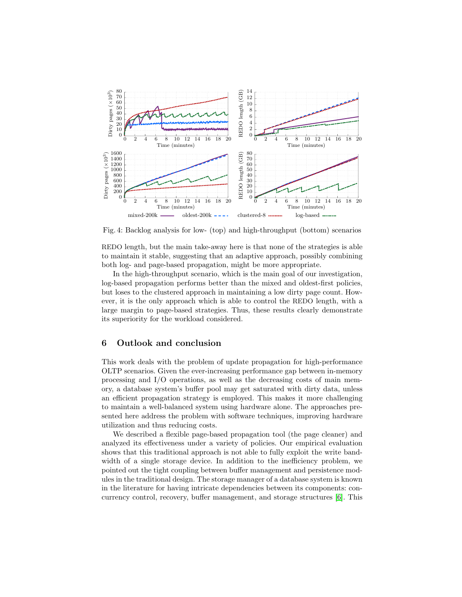<span id="page-12-1"></span>

Fig. 4: Backlog analysis for low- (top) and high-throughput (bottom) scenarios

REDO length, but the main take-away here is that none of the strategies is able to maintain it stable, suggesting that an adaptive approach, possibly combining both log- and page-based propagation, might be more appropriate.

In the high-throughput scenario, which is the main goal of our investigation, log-based propagation performs better than the mixed and oldest-first policies, but loses to the clustered approach in maintaining a low dirty page count. However, it is the only approach which is able to control the REDO length, with a large margin to page-based strategies. Thus, these results clearly demonstrate its superiority for the workload considered.

## <span id="page-12-0"></span>6 Outlook and conclusion

This work deals with the problem of update propagation for high-performance OLTP scenarios. Given the ever-increasing performance gap between in-memory processing and I/O operations, as well as the decreasing costs of main memory, a database system's buffer pool may get saturated with dirty data, unless an efficient propagation strategy is employed. This makes it more challenging to maintain a well-balanced system using hardware alone. The approaches presented here address the problem with software techniques, improving hardware utilization and thus reducing costs.

We described a flexible page-based propagation tool (the page cleaner) and analyzed its effectiveness under a variety of policies. Our empirical evaluation shows that this traditional approach is not able to fully exploit the write bandwidth of a single storage device. In addition to the inefficiency problem, we pointed out the tight coupling between buffer management and persistence modules in the traditional design. The storage manager of a database system is known in the literature for having intricate dependencies between its components: concurrency control, recovery, buffer management, and storage structures [\[6\]](#page-13-3). This